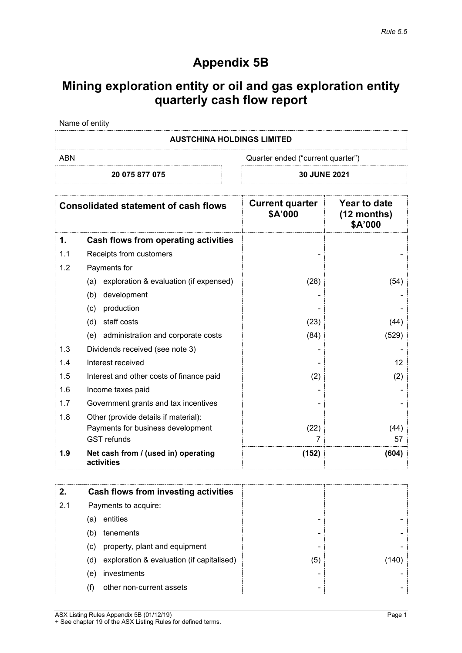## **Appendix 5B**

# **Mining exploration entity or oil and gas exploration entity quarterly cash flow report**

Name of entity

#### **AUSTCHINA HOLDINGS LIMITED**

ABN ABN Cuarter ended ("current quarter")

**20 075 877 075 30 JUNE 2021**

| <b>Consolidated statement of cash flows</b> |                                                   | <b>Current quarter</b><br>\$A'000 | Year to date<br>$(12$ months)<br>\$A'000 |
|---------------------------------------------|---------------------------------------------------|-----------------------------------|------------------------------------------|
| 1.                                          | Cash flows from operating activities              |                                   |                                          |
| 1.1                                         | Receipts from customers                           |                                   |                                          |
| 1.2                                         | Payments for                                      |                                   |                                          |
|                                             | exploration & evaluation (if expensed)<br>(a)     | (28)                              | (54)                                     |
|                                             | development<br>(b)                                |                                   |                                          |
|                                             | production<br>(c)                                 |                                   |                                          |
|                                             | staff costs<br>(d)                                | (23)                              | (44)                                     |
|                                             | administration and corporate costs<br>(e)         | (84)                              | (529)                                    |
| 1.3                                         | Dividends received (see note 3)                   |                                   |                                          |
| 1.4                                         | Interest received                                 |                                   | 12 <sup>°</sup>                          |
| 1.5                                         | Interest and other costs of finance paid          | (2)                               | (2)                                      |
| 1.6                                         | Income taxes paid                                 |                                   |                                          |
| 1.7                                         | Government grants and tax incentives              |                                   |                                          |
| 1.8                                         | Other (provide details if material):              |                                   |                                          |
|                                             | Payments for business development                 | (22)                              | (44)                                     |
|                                             | <b>GST</b> refunds                                |                                   | 57                                       |
| 1.9                                         | Net cash from / (used in) operating<br>activities | (152)                             | (604)                                    |

| 2.  |     | Cash flows from investing activities      |                          |  |
|-----|-----|-------------------------------------------|--------------------------|--|
| 2.1 |     | Payments to acquire:                      |                          |  |
|     | (a  | entities                                  | -                        |  |
|     | (b) | tenements                                 | $\overline{\phantom{0}}$ |  |
|     | (c) | property, plant and equipment             | $\overline{\phantom{0}}$ |  |
|     | (d) | exploration & evaluation (if capitalised) | (5)                      |  |
|     | (e) | investments                               | -                        |  |
|     |     | other non-current assets                  | $\overline{\phantom{0}}$ |  |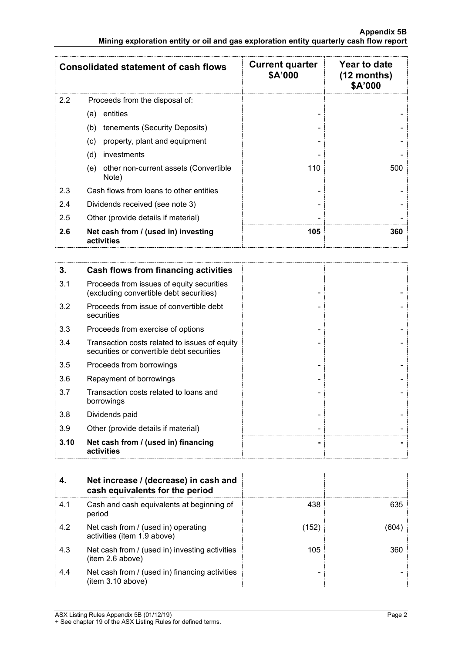| <b>Consolidated statement of cash flows</b> |                                                       | <b>Current quarter</b><br>\$A'000 | Year to date<br>$(12$ months)<br>\$A'000 |
|---------------------------------------------|-------------------------------------------------------|-----------------------------------|------------------------------------------|
| 2.2                                         | Proceeds from the disposal of:                        |                                   |                                          |
|                                             | entities<br>(a)                                       |                                   |                                          |
|                                             | (b)<br>tenements (Security Deposits)                  |                                   |                                          |
|                                             | (c)<br>property, plant and equipment                  |                                   |                                          |
|                                             | (d)<br>investments                                    |                                   |                                          |
|                                             | other non-current assets (Convertible<br>(e)<br>Note) | 110                               | 500                                      |
| 2.3                                         | Cash flows from loans to other entities               |                                   |                                          |
| 2.4                                         | Dividends received (see note 3)                       |                                   |                                          |
| 2.5                                         | Other (provide details if material)                   |                                   |                                          |
| 2.6                                         | Net cash from / (used in) investing<br>activities     | 105                               | 360                                      |

| 3.   | Cash flows from financing activities                                                       |  |
|------|--------------------------------------------------------------------------------------------|--|
| 3.1  | Proceeds from issues of equity securities<br>(excluding convertible debt securities)       |  |
| 3.2  | Proceeds from issue of convertible debt<br>securities                                      |  |
| 3.3  | Proceeds from exercise of options                                                          |  |
| 3.4  | Transaction costs related to issues of equity<br>securities or convertible debt securities |  |
| 3.5  | Proceeds from borrowings                                                                   |  |
| 3.6  | Repayment of borrowings                                                                    |  |
| 3.7  | Transaction costs related to loans and<br>borrowings                                       |  |
| 3.8  | Dividends paid                                                                             |  |
| 3.9  | Other (provide details if material)                                                        |  |
| 3.10 | Net cash from / (used in) financing<br>activities                                          |  |

|     | Net increase / (decrease) in cash and<br>cash equivalents for the period |       |     |
|-----|--------------------------------------------------------------------------|-------|-----|
| 4.1 | Cash and cash equivalents at beginning of<br>period                      | 438   | 635 |
| 4.2 | Net cash from / (used in) operating<br>activities (item 1.9 above)       | (152) |     |
| 4.3 | Net cash from / (used in) investing activities<br>(item 2.6 above)       | 105   |     |
| 4.4 | Net cash from / (used in) financing activities<br>item 3.10 above)       |       |     |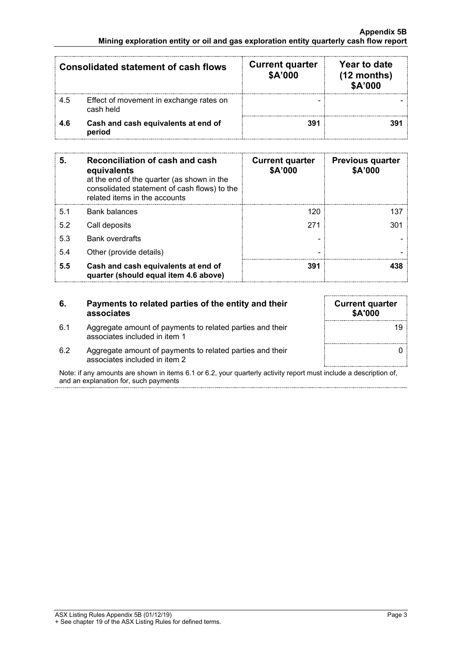| <b>Consolidated statement of cash flows</b> |                                                      | <b>Current quarter</b><br>\$A'000 | Year to date<br>$(12$ months)<br>\$A'000 |
|---------------------------------------------|------------------------------------------------------|-----------------------------------|------------------------------------------|
| 4.5                                         | Effect of movement in exchange rates on<br>cash held |                                   |                                          |
| 4.6                                         | Cash and cash equivalents at end of<br>period        | 391                               |                                          |

| 5   | Reconciliation of cash and cash<br>equivalents<br>at the end of the quarter (as shown in the<br>consolidated statement of cash flows) to the<br>related items in the accounts | <b>Current quarter</b><br>\$A'000 | <b>Previous quarter</b><br>\$A'000 |
|-----|-------------------------------------------------------------------------------------------------------------------------------------------------------------------------------|-----------------------------------|------------------------------------|
| 5.1 | <b>Bank balances</b>                                                                                                                                                          | 120                               | 137                                |
| 5.2 | Call deposits                                                                                                                                                                 | 271                               | 301                                |
| 5.3 | <b>Bank overdrafts</b>                                                                                                                                                        |                                   |                                    |
| 5.4 | Other (provide details)                                                                                                                                                       |                                   |                                    |
| 5.5 | Cash and cash equivalents at end of<br>quarter (should equal item 4.6 above)                                                                                                  | 391                               |                                    |

| 6. | Payments to related parties of the entity and their |
|----|-----------------------------------------------------|
|    | associates                                          |

| 6.1 | Aggregate amount of payments to related parties and their |
|-----|-----------------------------------------------------------|
|     | associates included in item 1                             |

| <b>Current quarter</b><br>\$A'000 |
|-----------------------------------|
| 19                                |
|                                   |

6.2 Aggregate amount of payments to related parties and their associates included in item 2

Note: if any amounts are shown in items 6.1 or 6.2, your quarterly activity report must include a description of, and an explanation for, such payments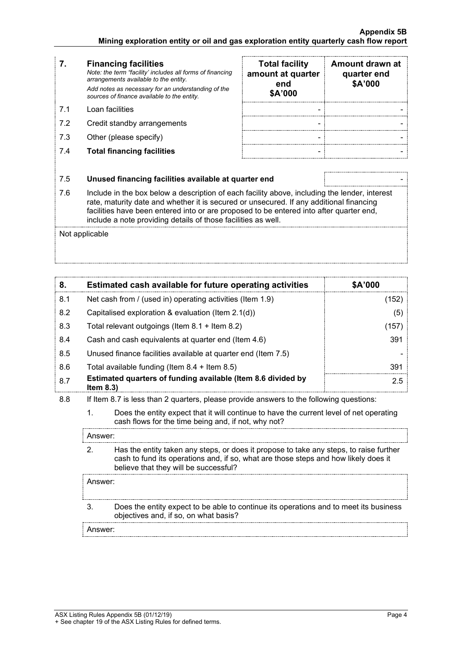- **7. Financing facilities** *Note: the term "facility' includes all forms of financing arrangements available to the entity. Add notes as necessary for an understanding of the sources of finance available to the entity.*
- 7.2 Credit standby arrangements
- 7.3 Other (please specify)
- 7.4 **Total financing facilities** -

|     | <b>Financing facilities</b><br>Note: the term "facility' includes all forms of financing<br>arrangements available to the entity.<br>Add notes as necessary for an understanding of the<br>sources of finance available to the entity. | <b>Total facility</b><br>amount at quarter<br>end<br>\$A'000 | Amount drawn at<br>quarter end<br>\$A'000 |
|-----|----------------------------------------------------------------------------------------------------------------------------------------------------------------------------------------------------------------------------------------|--------------------------------------------------------------|-------------------------------------------|
| 71  | Loan facilities                                                                                                                                                                                                                        |                                                              |                                           |
| 7.2 | Credit standby arrangements                                                                                                                                                                                                            |                                                              |                                           |
| 7.3 | Other (please specify)                                                                                                                                                                                                                 |                                                              |                                           |
| 7.4 | <b>Total financing facilities</b>                                                                                                                                                                                                      |                                                              |                                           |

#### 7.5 **Unused financing facilities available at quarter end** -

7.6 Include in the box below a description of each facility above, including the lender, interest rate, maturity date and whether it is secured or unsecured. If any additional financing facilities have been entered into or are proposed to be entered into after quarter end, include a note providing details of those facilities as well.

Not applicable

| 8.  | Estimated cash available for future operating activities                   | <b>SA'000</b> |
|-----|----------------------------------------------------------------------------|---------------|
| 8.1 | Net cash from / (used in) operating activities (Item 1.9)                  | 152           |
| 8.2 | Capitalised exploration & evaluation (Item 2.1(d))                         | (5)           |
| 8.3 | Total relevant outgoings (Item $8.1 +$ Item $8.2$ )                        | 157           |
| 8.4 | Cash and cash equivalents at quarter end (Item 4.6)                        | 391           |
| 8.5 | Unused finance facilities available at quarter end (Item 7.5)              |               |
| 8.6 | Total available funding (Item $8.4 +$ Item $8.5$ )                         | 391           |
| 87  | Estimated quarters of funding available (Item 8.6 divided by<br>Item $8.3$ | 2.5           |

- 8.8 If Item 8.7 is less than 2 quarters, please provide answers to the following questions:
	- 1. Does the entity expect that it will continue to have the current level of net operating cash flows for the time being and, if not, why not?

Answer:

2. Has the entity taken any steps, or does it propose to take any steps, to raise further cash to fund its operations and, if so, what are those steps and how likely does it believe that they will be successful?

### Answer:

3. Does the entity expect to be able to continue its operations and to meet its business objectives and, if so, on what basis?

Answer: